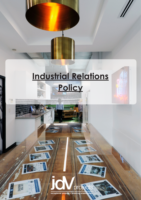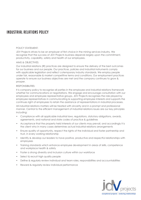# INDUSTRIAL RELATIONS POLICY

### POLICY STATEMENT:

JDV Projects strives to be an employer of first choice in the mining services industry. We recognise that the success of JDV Projects business depends largely upon the commitment, productivity, capability, safety and health of our employees.

## AIMS & OBJECTIVES:

Our industrial relations (IR) practices are designed to ensure the delivery of the best outcomes for our business and our people. Our practices, policies and industrial instruments comply with applicable legislation and reflect cotemporary industry standards. We employ people under fair, reasonable & market competitive terms and conditions. Our employment practices operate to ensure our business objectives are met and the company continues to grow & prosper.

## RESPONSIBILITIES:

It is company policy to recognise all parties in the employee and industrial relations framework whether for communications or negotiations. We engage and encourage consultation with our employees and employee representative groups. JDV Projects recognises the role played by employee representatives in communicating & supporting employee interests and supports the continues right of employees to retain the assistance of representations in industrial processes.

All industrial relations matters will be treated with sincerity and in a prompt and professional manner. Central to the efficient management of industrial relations issues are our key principles including:

- Compliance with all applicable industrial laws, regulations, statutory obligations, awards, agreements, and national and state codes of practice & guidelines
- Acceptance that the property held interests of our clients may prevail, and accordingly it is the client who in many cases determines actual industrial relations arrangements
- Ensure quality of opportunity, respect the rights of the individual and foster partnership and trust, in every working relationship
- Identify & develop our leaders to have positive, productive and respectful relationships with employees
- Training standards which enhance employee development in areas of skills, competence and workplace health & safety
- Foster a strong diversity and inclusion culture within our workforce
- Select & recruit high quality people
- Define & regularly review individual and team roles, responsibilities and accountabilities
- Reward & regularly review individual performance